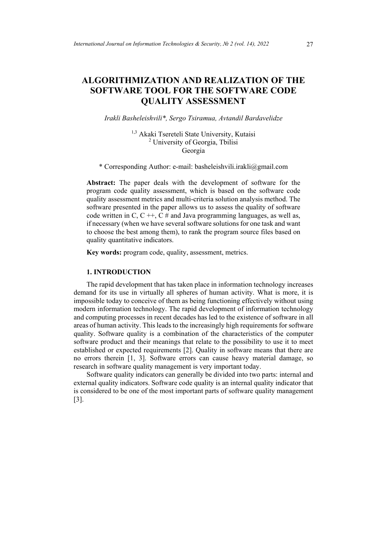# **ALGORITHMIZATION AND REALIZATION OF THE SOFTWARE TOOL FOR THE SOFTWARE CODE QUALITY ASSESSMENT**

### *Irakli Basheleishvili\*, Sergo Tsiramua, Avtandil Bardavelidze*

<sup>1,3</sup> Akaki Tsereteli State University, Kutaisi <sup>2</sup> University of Georgia, Tbilisi Georgia

\* Corresponding Author: e-mail: basheleishvili.irakli@gmail.com

**Abstract:** The paper deals with the development of software for the program code quality assessment, which is based on the software code quality assessment metrics and multi-criteria solution analysis method. The software presented in the paper allows us to assess the quality of software code written in C, C  $++$ , C  $#$  and Java programming languages, as well as, if necessary (when we have several software solutions for one task and want to choose the best among them), to rank the program source files based on quality quantitative indicators.

**Key words:** program code, quality, assessment, metrics.

## **1. INTRODUCTION**

The rapid development that has taken place in information technology increases demand for its use in virtually all spheres of human activity. What is more, it is impossible today to conceive of them as being functioning effectively without using modern information technology. The rapid development of information technology and computing processes in recent decades has led to the existence of software in all areas of human activity. This leads to the increasingly high requirements for software quality. Software quality is a combination of the characteristics of the computer software product and their meanings that relate to the possibility to use it to meet established or expected requirements [2]. Quality in software means that there are no errors therein [1, 3]. Software errors can cause heavy material damage, so research in software quality management is very important today.

Software quality indicators can generally be divided into two parts: internal and external quality indicators. Software code quality is an internal quality indicator that is considered to be one of the most important parts of software quality management [3].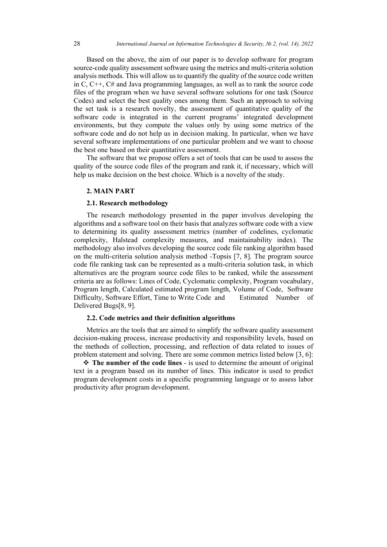Based on the above, the aim of our paper is to develop software for program source-code quality assessment software using the metrics and multi-criteria solution analysis methods. This will allow us to quantify the quality of the source code written in C, C++, C# and Java programming languages, as well as to rank the source code files of the program when we have several software solutions for one task (Source Codes) and select the best quality ones among them. Such an approach to solving the set task is a research novelty, the assessment of quantitative quality of the software code is integrated in the current programs' integrated development environments, but they compute the values only by using some metrics of the software code and do not help us in decision making. In particular, when we have several software implementations of one particular problem and we want to choose the best one based on their quantitative assessment.

The software that we propose offers a set of tools that can be used to assess the quality of the source code files of the program and rank it, if necessary, which will help us make decision on the best choice. Which is a novelty of the study.

#### **2. MAIN PART**

### **2.1. Research methodology**

The research methodology presented in the paper involves developing the algorithms and a software tool on their basis that analyzes software code with a view to determining its quality assessment metrics (number of codelines, cyclomatic complexity, Halstead complexity measures, and maintainability index). The methodology also involves developing the source code file ranking algorithm based on the multi-criteria solution analysis method -Topsis [7, 8]. The program source code file ranking task can be represented as a multi-criteria solution task, in which alternatives are the program source code files to be ranked, while the assessment criteria are as follows: Lines of Code, Cyclomatic complexity, Program vocabulary, Program length, Calculated estimated program length, Volume of Code, Software Difficulty, Software Effort, Time to Write Code and Estimated Number of Delivered Bugs[8, 9].

## **2.2. Code metrics and their definition algorithms**

Metrics are the tools that are aimed to simplify the software quality assessment decision-making process, increase productivity and responsibility levels, based on the methods of collection, processing, and reflection of data related to issues of problem statement and solving. There are some common metrics listed below [3, 6]:

 **The number of the code lines** - is used to determine the amount of original text in a program based on its number of lines. This indicator is used to predict program development costs in a specific programming language or to assess labor productivity after program development.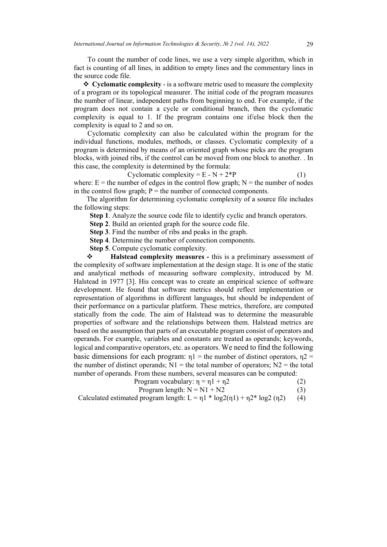To count the number of code lines, we use a very simple algorithm, which in fact is counting of all lines, in addition to empty lines and the commentary lines in the source code file.

 **Cyclomatic complexity** - is a software metric used to measure the complexity of a program or its topological measurer. The initial code of the program measures the number of linear, independent paths from beginning to end. For example, if the program does not contain a cycle or conditional branch, then the cyclomatic complexity is equal to 1. If the program contains one if/else block then the complexity is equal to 2 and so on.

Cyclomatic complexity can also be calculated within the program for the individual functions, modules, methods, or classes. Cyclomatic complexity of a program is determined by means of an oriented graph whose picks are the program blocks, with joined ribs, if the control can be moved from one block to another. . In this case, the complexity is determined by the formula:

Cyclomatic complexity =  $E - N + 2*P$  (1) where:  $E =$  the number of edges in the control flow graph;  $N =$  the number of nodes in the control flow graph;  $P =$  the number of connected components.

The algorithm for determining cyclomatic complexity of a source file includes the following steps:

**Step 1**. Analyze the source code file to identify cyclic and branch operators.

 **Step 2**. Build an oriented graph for the source code file.

 **Step 3**. Find the number of ribs and peaks in the graph.

 **Step 4**. Determine the number of connection components.

 **Step 5**. Compute cyclomatic complexity.

 **Halstead complexity measures -** this is a preliminary assessment of the complexity of software implementation at the design stage. It is one of the static and analytical methods of measuring software complexity, introduced by M. Halstead in 1977 [3]. His concept was to create an empirical science of software development. He found that software metrics should reflect implementation or representation of algorithms in different languages, but should be independent of their performance on a particular platform. These metrics, therefore, are computed statically from the code. The aim of Halstead was to determine the measurable properties of software and the relationships between them. Halstead metrics are based on the assumption that parts of an executable program consist of operators and operands. For example, variables and constants are treated as operands; keywords, logical and comparative operators, etc. as operators. We need to find the following basic dimensions for each program:  $\eta$ 1 = the number of distinct operators,  $\eta$ 2 = the number of distinct operands;  $N1 =$  the total number of operators;  $N2 =$  the total number of operands. From these numbers, several measures can be computed:

Program vocabulary: 
$$
η = η1 + η2
$$
 (2)

$$
Program length: N = N1 + N2
$$
\n(3)

Calculated estimated program length:  $L = \eta_1 * \log(2(\eta_1) + \eta_2 * \log(2(\eta_2))$  (4)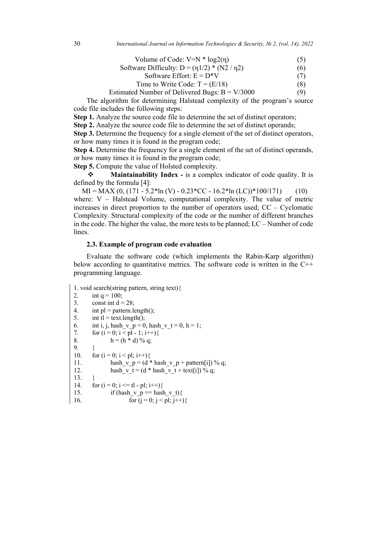Volume of Code:  $V=N * log2(n)$  (5)

Software Difficulty:  $D = (\eta_1/2) * (N2 / \eta_2)$  (6)

$$
Software Effort: E = D*V
$$
 (7)

Time to Write Code: 
$$
T = (E/18)
$$
 (8)

$$
Estimated Number of Delivered Bugs: B = V/3000
$$
 (9)

The algorithm for determining Halstead complexity of the program's source code file includes the following steps:

**Step 1.** Analyze the source code file to determine the set of distinct operators;

**Step 2.** Analyze the source code file to determine the set of distinct operands;

**Step 3.** Determine the frequency for a single element of the set of distinct operators, or how many times it is found in the program code;

**Step 4.** Determine the frequency for a single element of the set of distinct operands, or how many times it is found in the program code;

**Step 5.** Compute the value of Holsted complexity.

**Maintainability Index** - is a complex indicator of code quality. It is defined by the formula [4]:

 $MI = MAX (0, (171 - 5.2*ln (V) - 0.23*CC - 16.2*ln (LC))*100/171)$  (10) where: V – Halstead Volume, computational complexity. The value of metric increases in direct proportion to the number of operators used; CC – Cyclomatic Complexity. Structural complexity of the code or the number of different branches in the code. The higher the value, the more tests to be planned; LC – Number of code lines.

#### **2.3. Example of program code evaluation**

Evaluate the software code (which implements the Rabin-Karp algorithm) below according to quantitative metrics. The software code is written in the  $C^{++}$ programming language.

```
1. void search(string pattern, string text){
2. int q = 100;<br>3. const int d =const int d = 28;
4. int pl = pattern.length();
5. int tl = text.length();<br>6. int i. i. hash y = 06. int i, j, hash_v_p = 0, hash_v_t = 0, h = 1;<br>7. for (i = 0; i < p1 - 1; i++)for (i = 0; i < pl - 1; i++)8. h = (h * d) \% q;
9. }
10. for (i = 0; i < p]; i++){
11. hash v p = (d * hash v p + pattern[i]) % q;12. hash v t = (d * hash v t + text[i]) % q;13. }
14. for (i = 0; i \le t] - pl; i++)15. if (hash v_p = hash v_t) {
16. for (j = 0; j < pl; j++){
```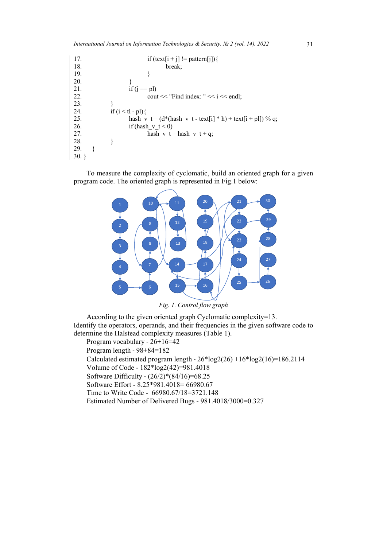| 17. | if $(text[i + j] != pattern[j])$                              |
|-----|---------------------------------------------------------------|
| 18. | break;                                                        |
| 19. |                                                               |
| 20. |                                                               |
| 21. | if $(i == pl)$                                                |
| 22. | cout $<<$ "Find index: " $<<$ i $<<$ endl;                    |
| 23. |                                                               |
| 24. | if $(i < t l - pl)$                                           |
| 25. | hash v $t = (d*(hash_v_t - text[i] * h) + text[i + pl]) % q;$ |
| 26. | if (hash v $t < 0$ )                                          |
| 27. | hash v $t =$ hash v $t + q$ ;                                 |
| 28. |                                                               |
| 29. |                                                               |
| 30. |                                                               |

To measure the complexity of cyclomatic, build an oriented graph for a given program code. The oriented graph is represented in Fig.1 below:



*Fig. 1. Control flow graph*

According to the given oriented graph Cyclomatic complexity=13. Identify the operators, operands, and their frequencies in the given software code to determine the Halstead complexity measures (Table 1).

Program vocabulary - 26+16=42 Program length - 98+84=182 Calculated estimated program length -  $26*log2(26) + 16*log2(16) = 186.2114$ Volume of Code - 182\*log2(42)=981.4018 Software Difficulty - (26/2)\*(84/16)=68.25 Software Effort - 8.25\*981.4018= 66980.67 Time to Write Code - 66980.67/18=3721.148 Estimated Number of Delivered Bugs - 981.4018/3000=0.327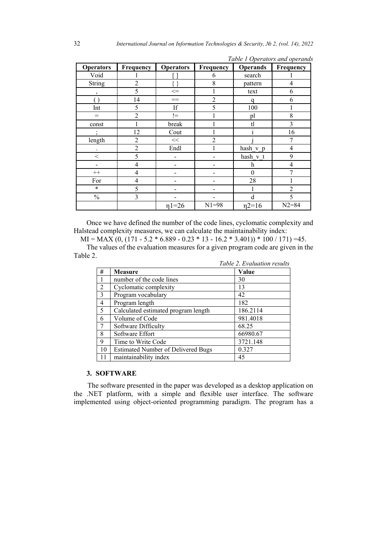| <b>Operators</b>     | Frequency      | <b>Operators</b> | Frequency      | <b>Operands</b> | Frequency      |
|----------------------|----------------|------------------|----------------|-----------------|----------------|
| Void                 |                |                  | 6              | search          |                |
| <b>String</b>        | $\overline{2}$ | ∤}               | 8              | pattern         | $\overline{4}$ |
| $\cdot$              | 5              | $\mathrel{<=}$   | 1              | text            | 6              |
|                      | 14             | $==$             | $\overline{2}$ | a               | 6              |
| Int                  | 5              | If               | 5              | 100             |                |
| $=$                  | $\overline{2}$ | $l =$            |                | pl              | 8              |
| const                |                | break            |                | t               | $\overline{3}$ |
| $\overline{ }$       | 12             | Cout             |                | 1               | 16             |
| length               | $\overline{2}$ | $<<$             | $\overline{2}$ |                 | 7              |
| $\ddot{\phantom{0}}$ | $\overline{2}$ | Endl             |                | hash v p        | $\overline{4}$ |
| $\,<$                | 5              |                  |                | hash v t        | 9              |
|                      | 4              |                  |                | h               | 4              |
| $^{++}$              | 4              |                  |                | $\theta$        | 7              |
| For                  | 4              |                  |                | 28              |                |
| $\ast$               | 5              |                  |                |                 | $\overline{2}$ |
| $\frac{0}{0}$        | 3              |                  |                | d               | 5              |
|                      |                | $\eta$ 1=26      | $N1 = 98$      | $n2=16$         | $N2 = 84$      |

|  | Table 1 Operators and operands |  |
|--|--------------------------------|--|
|--|--------------------------------|--|

Once we have defined the number of the code lines, cyclomatic complexity and Halstead complexity measures, we can calculate the maintainability index:

 $MI = MAX(0, (171 - 5.2 * 6.889 - 0.23 * 13 - 16.2 * 3.401)) * 100 / 171) = 45.$ 

The values of the evaluation measures for a given program code are given in the Table 2.

|                |                                           | Table 2. Evaluation results |
|----------------|-------------------------------------------|-----------------------------|
| #              | <b>Measure</b>                            | Value                       |
|                | number of the code lines                  | 30                          |
| $\overline{2}$ | Cyclomatic complexity                     | 13                          |
| 3              | Program vocabulary                        | 42                          |
| 4              | Program length                            | 182                         |
| 5              | Calculated estimated program length       | 186.2114                    |
| 6              | Volume of Code                            | 981.4018                    |
| 7              | Software Difficulty                       | 68.25                       |
| 8              | Software Effort                           | 66980.67                    |
| 9              | Time to Write Code                        | 3721.148                    |
| 10             | <b>Estimated Number of Delivered Bugs</b> | 0.327                       |
|                | maintainability index                     | 45                          |

### **3. SOFTWARE**

The software presented in the paper was developed as a desktop application on the .NET platform, with a simple and flexible user interface. The software implemented using object-oriented programming paradigm. The program has a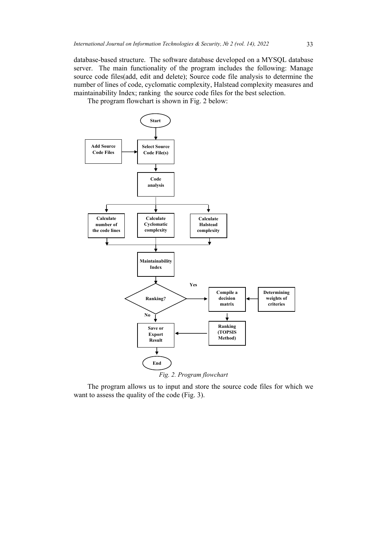database-based structure. The software database developed on a MYSQL database server. The main functionality of the program includes the following: Manage source code files(add, edit and delete); Source code file analysis to determine the number of lines of code, cyclomatic complexity, Halstead complexity measures and maintainability Index; ranking the source code files for the best selection.

The program flowchart is shown in Fig. 2 below:



The program allows us to input and store the source code files for which we want to assess the quality of the code (Fig. 3).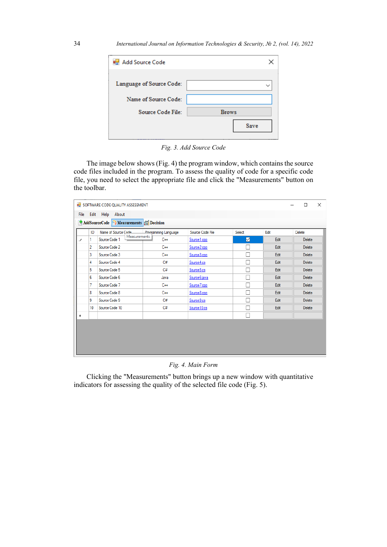| Add Source Code          |              |
|--------------------------|--------------|
| Language of Source Code: |              |
| Name of Source Code:     |              |
| Source Code File:        | <b>Brows</b> |
|                          | Save         |

*Fig. 3. Add Source Code*

The image below shows (Fig. 4) the program window, which contains the source code files included in the program. To assess the quality of code for a specific code file, you need to select the appropriate file and click the "Measurements" button on the toolbar.

|                          |                  | <b>ILE SOFTWARE CODE QUALITY ASSESSMENT</b> |              |                     |                         |        |      | □             | × |
|--------------------------|------------------|---------------------------------------------|--------------|---------------------|-------------------------|--------|------|---------------|---|
| <b>File</b>              |                  | Edit Help About                             |              |                     |                         |        |      |               |   |
|                          |                  | AddSourceCode Measurements in Decision      |              |                     |                         |        |      |               |   |
|                          | ID               | Name of Source Code                         |              | Pmaramming Language | Source Code File        | Select | Edit | Delete        |   |
| $\overline{\mathscr{S}}$ |                  | Source Code 1                               | Measurements | $C++$               | Source 1.cpp            | ☑      | Edit | Delete        |   |
|                          | 2                | Source Code 2                               |              | $C++$               | Source <sub>2.cpp</sub> | П      | Edit | <b>Delete</b> |   |
|                          | 3                | Source Code 3                               |              | $C++$               | Source3.cpp             | П      | Edit | <b>Delete</b> |   |
|                          | 4                | Source Code 4                               |              | C#                  | Source4.cs              | П      | Edit | Delete        |   |
|                          | 5                | Source Code 5                               |              | C#                  | Source5.cs              | П      | Edit | Delete        |   |
|                          | 6                | Source Code 6                               |              | Java                | Source6.java            | П      | Edit | <b>Delete</b> |   |
|                          | 7                | Source Code 7                               |              | $C++$               | Source 7.cpp            | П      | Edit | Delete        |   |
|                          | 8                | Source Code 8                               |              | $C++$               | Source8.cpp             | П      | Edit | <b>Delete</b> |   |
|                          | 9                | Source Code 9                               |              | C#                  | Source9.cs              | П      | Edit | Delete        |   |
|                          | 10 <sup>10</sup> | Source Code 10                              |              | C#                  | Source 10.cs            | П      | Edit | <b>Delete</b> |   |
| ŵ                        |                  |                                             |              |                     |                         | П      |      |               |   |
|                          |                  |                                             |              |                     |                         |        |      |               |   |
|                          |                  |                                             |              |                     |                         |        |      |               |   |
|                          |                  |                                             |              |                     |                         |        |      |               |   |
|                          |                  |                                             |              |                     |                         |        |      |               |   |
|                          |                  |                                             |              |                     |                         |        |      |               |   |

*Fig. 4. Main Form*

Clicking the "Measurements" button brings up a new window with quantitative indicators for assessing the quality of the selected file code (Fig. 5).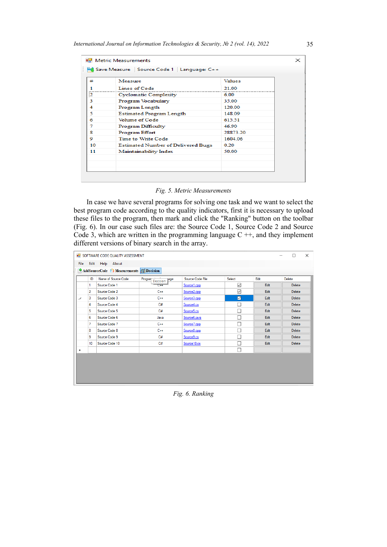|    | Save Measure   Source Code 1   Language: C++ |               |  |
|----|----------------------------------------------|---------------|--|
| ₩  | Measure                                      | <b>Values</b> |  |
|    | Lines of Code                                | 21.00         |  |
| 2  | <b>Cyclomatic Complexity</b>                 | 6.00          |  |
| З  | Program Vocabulary                           | 35.00         |  |
| Δ  | Program Length                               | 120.00        |  |
| 5  | <b>Estimated Program Length</b>              | 148 09        |  |
| 6  | Volume of Code                               | 615.51        |  |
| 7  | <b>Program Difficulty</b>                    | 46.90         |  |
| 8  | <b>Program Effort</b>                        | 28873 20      |  |
| ۰  | <b>Time to Write Code</b>                    | 1604 06       |  |
| 10 | <b>Estimated Number of Delivered Bugs</b>    | 0.20          |  |
| 11 | Maintainability Index                        | 50.00         |  |
|    |                                              |               |  |
|    |                                              |               |  |

*Fig. 5. Metric Measurements*

In case we have several programs for solving one task and we want to select the best program code according to the quality indicators, first it is necessary to upload these files to the program, then mark and click the "Ranking" button on the toolbar (Fig. 6). In our case such files are: the Source Code 1, Source Code 2 and Source Code 3, which are written in the programming language  $C + \frac{1}{2}$ , and they implement different versions of binary search in the array.

| Edit Help About<br>AddSourceCode ( Measurements in Decision |                             |                          |              |      |        |
|-------------------------------------------------------------|-----------------------------|--------------------------|--------------|------|--------|
|                                                             |                             |                          |              |      |        |
|                                                             |                             |                          |              |      |        |
| Name of Source Code<br>ID                                   | Program<br>lage<br>Decision | Source Code File         | Select       | Edit | Delete |
| Source Code 1                                               | $C++$                       | Source 1.cpp             | ☑            | Edit | Delete |
| Source Code 2                                               | $C++$                       | Source <sub>2.cpp</sub>  | $\checkmark$ | Edit | Delete |
| Source Code 3                                               | $C++$                       | Source 3.cpp             | ☑            | Edit | Delete |
| Source Code 4                                               | C#                          | Source4.cs               |              | Edit | Delete |
| Source Code 5                                               | C#                          | Source <sub>5.cs</sub>   | г            | Edit | Delete |
| Source Code 6                                               | Java                        | Source <sub>6.java</sub> |              | Edit | Delete |
| Source Code 7                                               | $C++$                       | Source 7.cpp             |              | Edit | Delete |
| Source Code 8                                               | $C++$                       | Source8.cpp              | L.           | Edit | Delete |
| Source Code 9                                               | C#                          | Source9.cs               |              | Edit | Delete |
| Source Code 10                                              | C#                          | Source 10.cs             | L            | Edit | Delete |
|                                                             |                             |                          | г            |      |        |
|                                                             |                             |                          |              |      |        |
|                                                             |                             |                          |              |      |        |
|                                                             |                             |                          |              |      |        |
|                                                             |                             |                          |              |      |        |
|                                                             |                             |                          |              |      |        |

*Fig. 6. Ranking*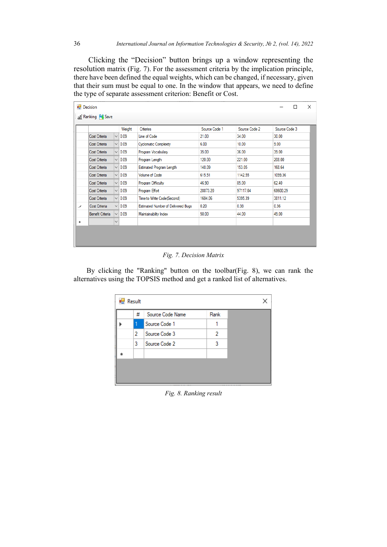Clicking the "Decision" button brings up a window representing the resolution matrix (Fig. 7). For the assessment criteria by the implication principle, there have been defined the equal weights, which can be changed, if necessary, given that their sum must be equal to one. In the window that appears, we need to define the type of separate assessment criterion: Benefit or Cost.

| <b>Decision</b> |                  |              |             |                                           |               |               |               | X |
|-----------------|------------------|--------------|-------------|-------------------------------------------|---------------|---------------|---------------|---|
|                 | ail Ranking Save |              |             |                                           |               |               |               |   |
|                 |                  |              | Weight      | Criteries                                 | Source Code 1 | Source Code 2 | Source Code 3 |   |
|                 | Cost Criteria    | $\checkmark$ | 0.09        | Line of Code                              | 21.00         | 34.00         | 30.00         |   |
|                 | Cost Criteria    | $\checkmark$ | 0.09        | <b>Cyclomatic Complexity</b>              | 6.00          | 10.00         | 9.00          |   |
|                 | Cost Criteria    | $\checkmark$ | 0.09        | Program Vocabulary                        | 35.00         | 36.00         | 39.00         |   |
|                 | Cost Criteria    |              | $\vee$ 0.09 | Program Length                            | 120.00        | 221.00        | 208.00        |   |
|                 | Cost Criteria    |              | $\vee$ 0.09 | Estimated Program Length                  | 148.09        | 153.05        | 168.64        |   |
|                 | Cost Criteria    | $\checkmark$ | 0.09        | <b>Volume of Code</b>                     | 615.51        | 1142.55       | 1099.36       |   |
|                 | Cost Criteria    | $\checkmark$ | 0.09        | Program Difficulty                        | 46.90         | 85.00         | 62.40         |   |
|                 | Cost Criteria    | $\checkmark$ | 0.09        | Program Effort                            | 28873.20      | 97117.04      | 68600.29      |   |
|                 | Cost Criteria    | $\checkmark$ | 0.09        | Time to Write Code(Second)                | 1604.06       | 5395.39       | 3811.12       |   |
|                 | Cost Criteria    |              | $\vee$ 0.09 | <b>Estimated Number of Delivered Bugs</b> | 0.20          | 0.38          | 0.36          |   |
|                 | Benefit Criteria |              | $\vee$ 0.09 | Maintainability Index                     | 50.00         | 44.00         | 49.00         |   |
| ۰               |                  | $\checkmark$ |             |                                           |               |               |               |   |
|                 |                  |              |             |                                           |               |               |               |   |
|                 |                  |              |             |                                           |               |               |               |   |
|                 |                  |              |             |                                           |               |               |               |   |

*Fig. 7. Decision Matrix*

By clicking the "Ranking" button on the toolbar(Fig. 8), we can rank the alternatives using the TOPSIS method and get a ranked list of alternatives.

| # | Source Code Name | Rank |  |
|---|------------------|------|--|
| 1 | Source Code 1    |      |  |
| 2 | Source Code 3    | 2    |  |
| 3 | Source Code 2    | 3    |  |
|   |                  |      |  |
|   |                  |      |  |

*Fig. 8. Ranking result*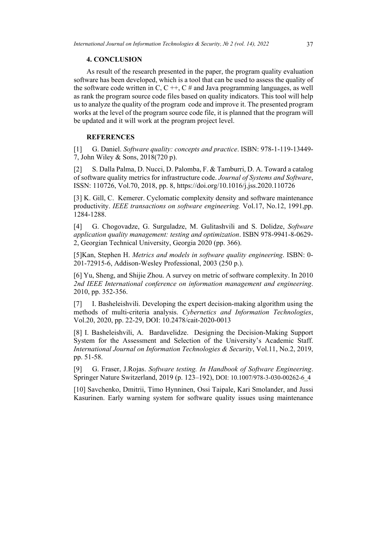### **4. CONCLUSION**

As result of the research presented in the paper, the program quality evaluation software has been developed, which is a tool that can be used to assess the quality of the software code written in C,  $C + \frac{1}{2}C \neq$  and Java programming languages, as well as rank the program source code files based on quality indicators. This tool will help us to analyze the quality of the program code and improve it. The presented program works at the level of the program source code file, it is planned that the program will be updated and it will work at the program project level.

#### **REFERENCES**

[1] G. Daniel. *Software quality: concepts and practice*. ISBN: 978-1-119-13449- 7, John Wiley & Sons, 2018(720 p).

[2] S. Dalla Palma, D. Nucci, D. Palomba, F. & Tamburri, D. A. Toward a catalog of software quality metrics for infrastructure code. *Journal of Systems and Software*, ISSN: 110726, Vol.70, 2018, pp. 8,<https://doi.org/10.1016/j.jss.2020.110726>

[3] K. Gill, C. Kemerer. Cyclomatic complexity density and software maintenance productivity. *IEEE transactions on software engineering.* Vol.17, No.12, 1991,pp. 1284-1288.

[4] G. Chogovadze, G. Surguladze, M. Gulitashvili and S. Dolidze, *Software application quality management: testing and optimization*. ISBN 978-9941-8-0629- 2, Georgian Technical University, Georgia 2020 (pp. 366).

[5]Kan, Stephen H. *Metrics and models in software quality engineering*. ISBN: 0- 201-72915-6, Addison-Wesley Professional, 2003 (250 p.).

[6] Yu, Sheng, and Shijie Zhou. A survey on metric of software complexity. In 2010 *2nd IEEE International conference on information management and engineering*. 2010, pp. 352-356.

[7] I. Basheleishvili. Developing the expert decision-making algorithm using the methods of multi-criteria analysis. *Cybernetics and Information Technologies*, Vol.20, 2020, pp. 22-29, DOI: 10.2478/cait-2020-0013

[8] I. Basheleishvili, A. Bardavelidze. Designing the Decision-Making Support System for the Assessment and Selection of the University's Academic Staff. *International Journal on Information Technologies & Security*, Vol.11, No.2, 2019, pp. 51-58.

[9] G. Fraser, J.Rojas. *Software testing. In Handbook of Software Engineering*. Springer Nature Switzerland, 2019 (p. 123–192), DOI: 10.1007/978-3-030-00262-6\_4

[10] Savchenko, Dmitrii, Timo Hynninen, Ossi Taipale, Kari Smolander, and Jussi Kasurinen. Early warning system for software quality issues using maintenance